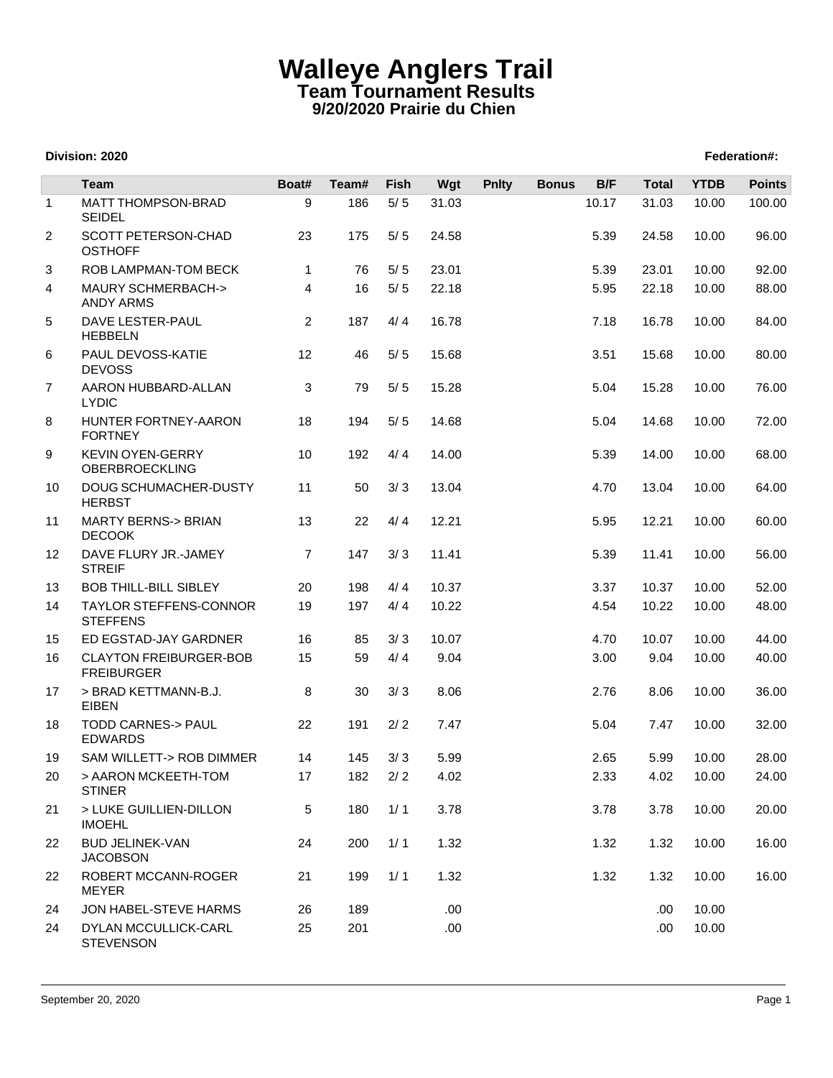## **Walleye Anglers Trail Team Tournament Results 9/20/2020 Prairie du Chien**

## **Division: 2020 Federation#:**

|                | Team                                               | Boat#          | Team# | Fish  | Wgt   | <b>Pnlty</b> | <b>Bonus</b> | B/F   | <b>Total</b> | <b>YTDB</b> | <b>Points</b> |
|----------------|----------------------------------------------------|----------------|-------|-------|-------|--------------|--------------|-------|--------------|-------------|---------------|
| $\mathbf{1}$   | <b>MATT THOMPSON-BRAD</b><br><b>SEIDEL</b>         | 9              | 186   | $5/5$ | 31.03 |              |              | 10.17 | 31.03        | 10.00       | 100.00        |
| $\overline{2}$ | SCOTT PETERSON-CHAD<br><b>OSTHOFF</b>              | 23             | 175   | 5/5   | 24.58 |              |              | 5.39  | 24.58        | 10.00       | 96.00         |
| 3              | ROB LAMPMAN-TOM BECK                               | 1              | 76    | $5/5$ | 23.01 |              |              | 5.39  | 23.01        | 10.00       | 92.00         |
| 4              | MAURY SCHMERBACH-><br><b>ANDY ARMS</b>             | 4              | 16    | $5/5$ | 22.18 |              |              | 5.95  | 22.18        | 10.00       | 88.00         |
| 5              | DAVE LESTER-PAUL<br><b>HEBBELN</b>                 | 2              | 187   | 4/4   | 16.78 |              |              | 7.18  | 16.78        | 10.00       | 84.00         |
| 6              | PAUL DEVOSS-KATIE<br><b>DEVOSS</b>                 | 12             | 46    | $5/5$ | 15.68 |              |              | 3.51  | 15.68        | 10.00       | 80.00         |
| 7              | AARON HUBBARD-ALLAN<br><b>LYDIC</b>                | 3              | 79    | $5/5$ | 15.28 |              |              | 5.04  | 15.28        | 10.00       | 76.00         |
| 8              | HUNTER FORTNEY-AARON<br><b>FORTNEY</b>             | 18             | 194   | $5/5$ | 14.68 |              |              | 5.04  | 14.68        | 10.00       | 72.00         |
| 9              | <b>KEVIN OYEN-GERRY</b><br><b>OBERBROECKLING</b>   | 10             | 192   | 4/4   | 14.00 |              |              | 5.39  | 14.00        | 10.00       | 68.00         |
| 10             | DOUG SCHUMACHER-DUSTY<br><b>HERBST</b>             | 11             | 50    | 3/3   | 13.04 |              |              | 4.70  | 13.04        | 10.00       | 64.00         |
| 11             | <b>MARTY BERNS-&gt; BRIAN</b><br><b>DECOOK</b>     | 13             | 22    | 4/4   | 12.21 |              |              | 5.95  | 12.21        | 10.00       | 60.00         |
| 12             | DAVE FLURY JR.-JAMEY<br><b>STREIF</b>              | $\overline{7}$ | 147   | 3/3   | 11.41 |              |              | 5.39  | 11.41        | 10.00       | 56.00         |
| 13             | <b>BOB THILL-BILL SIBLEY</b>                       | 20             | 198   | 4/4   | 10.37 |              |              | 3.37  | 10.37        | 10.00       | 52.00         |
| 14             | TAYLOR STEFFENS-CONNOR<br><b>STEFFENS</b>          | 19             | 197   | 4/4   | 10.22 |              |              | 4.54  | 10.22        | 10.00       | 48.00         |
| 15             | ED EGSTAD-JAY GARDNER                              | 16             | 85    | 3/3   | 10.07 |              |              | 4.70  | 10.07        | 10.00       | 44.00         |
| 16             | <b>CLAYTON FREIBURGER-BOB</b><br><b>FREIBURGER</b> | 15             | 59    | 4/4   | 9.04  |              |              | 3.00  | 9.04         | 10.00       | 40.00         |
| 17             | > BRAD KETTMANN-B.J.<br><b>EIBEN</b>               | 8              | 30    | 3/3   | 8.06  |              |              | 2.76  | 8.06         | 10.00       | 36.00         |
| 18             | TODD CARNES-> PAUL<br><b>EDWARDS</b>               | 22             | 191   | 2/2   | 7.47  |              |              | 5.04  | 7.47         | 10.00       | 32.00         |
| 19             | SAM WILLETT-> ROB DIMMER                           | 14             | 145   | 3/3   | 5.99  |              |              | 2.65  | 5.99         | 10.00       | 28.00         |
| 20             | > AARON MCKEETH-TOM<br><b>STINER</b>               | 17             | 182   | 2/2   | 4.02  |              |              | 2.33  | 4.02         | 10.00       | 24.00         |
| 21             | > LUKE GUILLIEN-DILLON<br><b>IMOEHL</b>            | 5              | 180   | 1/1   | 3.78  |              |              | 3.78  | 3.78         | 10.00       | 20.00         |
| 22             | <b>BUD JELINEK-VAN</b><br><b>JACOBSON</b>          | 24             | 200   | 1/1   | 1.32  |              |              | 1.32  | 1.32         | 10.00       | 16.00         |
| 22             | ROBERT MCCANN-ROGER<br><b>MEYER</b>                | 21             | 199   | 1/1   | 1.32  |              |              | 1.32  | 1.32         | 10.00       | 16.00         |
| 24             | <b>JON HABEL-STEVE HARMS</b>                       | 26             | 189   |       | .00   |              |              |       | .00          | 10.00       |               |
| 24             | DYLAN MCCULLICK-CARL<br><b>STEVENSON</b>           | 25             | 201   |       | .00   |              |              |       | .00          | 10.00       |               |